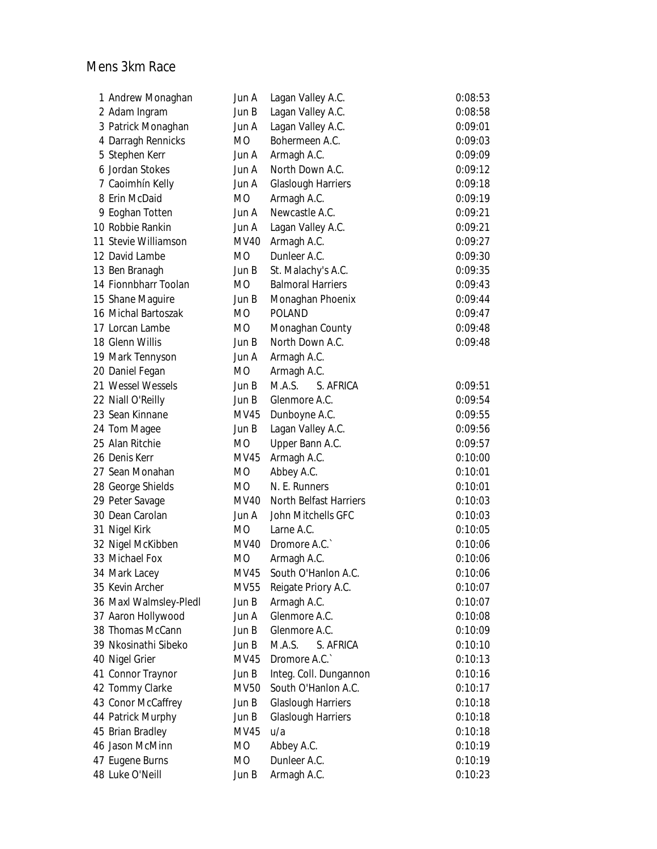## Mens 3km Race

| 1 Andrew Monaghan      | Jun A       | Lagan Valley A.C.             | 0:08:53 |
|------------------------|-------------|-------------------------------|---------|
| 2 Adam Ingram          | Jun B       | Lagan Valley A.C.             | 0:08:58 |
| 3 Patrick Monaghan     | Jun A       | Lagan Valley A.C.             | 0:09:01 |
| 4 Darragh Rennicks     | MO          | Bohermeen A.C.                | 0:09:03 |
| 5 Stephen Kerr         | Jun A       | Armagh A.C.                   | 0:09:09 |
| 6 Jordan Stokes        | Jun A       | North Down A.C.               | 0:09:12 |
| 7 Caoimhín Kelly       | Jun A       | <b>Glaslough Harriers</b>     | 0:09:18 |
| 8 Erin McDaid          | МO          | Armagh A.C.                   | 0:09:19 |
| 9 Eoghan Totten        | Jun A       | Newcastle A.C.                | 0:09:21 |
| 10 Robbie Rankin       | Jun A       | Lagan Valley A.C.             | 0:09:21 |
| 11 Stevie Williamson   | MV40        | Armagh A.C.                   | 0:09:27 |
| 12 David Lambe         | MO          | Dunleer A.C.                  | 0:09:30 |
| 13 Ben Branagh         | Jun B       | St. Malachy's A.C.            | 0:09:35 |
| 14 Fionnbharr Toolan   | МO          | <b>Balmoral Harriers</b>      | 0:09:43 |
| 15 Shane Maguire       | Jun B       | Monaghan Phoenix              | 0:09:44 |
| 16 Michal Bartoszak    | МO          | <b>POLAND</b>                 | 0:09:47 |
| 17 Lorcan Lambe        | МO          | Monaghan County               | 0:09:48 |
| 18 Glenn Willis        | Jun B       | North Down A.C.               | 0:09:48 |
| 19 Mark Tennyson       | Jun A       | Armagh A.C.                   |         |
| 20 Daniel Fegan        | MO          | Armagh A.C.                   |         |
| 21 Wessel Wessels      | Jun B       | MA.S.<br>S. AFRICA            | 0:09:51 |
| 22 Niall O'Reilly      | Jun B       | Glenmore A.C.                 | 0:09:54 |
| 23 Sean Kinnane        | MV45        | Dunboyne A.C.                 | 0:09:55 |
| 24 Tom Magee           | Jun B       | Lagan Valley A.C.             | 0:09:56 |
| 25 Alan Ritchie        | MO          | Upper Bann A.C.               | 0:09:57 |
| 26 Denis Kerr          | MV45        | Armagh A.C.                   | 0:10:00 |
| 27 Sean Monahan        | MO          | Abbey A.C.                    | 0:10:01 |
| 28 George Shields      | MO          | N. E. Runners                 | 0:10:01 |
| 29 Peter Savage        | MV40        | <b>North Belfast Harriers</b> | 0:10:03 |
| 30 Dean Carolan        | Jun A       | John Mitchells GFC            | 0:10:03 |
| 31 Nigel Kirk          | MO          | Larne A.C.                    | 0:10:05 |
| 32 Nigel McKibben      | <b>MV40</b> | Dromore A.C.                  | 0:10:06 |
| 33 Michael Fox         | MO          | Armagh A.C.                   | 0:10:06 |
| 34 Mark Lacey          | MV45        | South O'Hanlon A.C.           | 0:10:06 |
| 35 Kevin Archer        | MV55        | Reigate Priory A.C.           | 0:10:07 |
| 36 Maxl Walmsley-Pledl | Jun B       | Armagh A.C.                   | 0:10:07 |
| 37 Aaron Hollywood     | Jun A       | Glenmore A.C.                 | 0:10:08 |
| 38 Thomas McCann       | Jun B       | Glenmore A.C.                 | 0:10:09 |
| 39 Nkosinathi Sibeko   | Jun B       | M.A.S.<br>S. AFRICA           | 0:10:10 |
| 40 Nigel Grier         | MV45        | Dromore A.C.                  | 0:10:13 |
| 41 Connor Traynor      | Jun B       | Integ. Coll. Dungannon        | 0:10:16 |
| 42 Tommy Clarke        | MV50        | South O'Hanlon A.C.           | 0:10:17 |
| 43 Conor McCaffrey     | Jun B       | <b>Glaslough Harriers</b>     | 0:10:18 |
| 44 Patrick Murphy      | Jun B       | <b>Glaslough Harriers</b>     | 0:10:18 |
| 45 Brian Bradley       | MV45        | u/a                           | 0:10:18 |
| 46 Jason McMinn        | МO          | Abbey A.C.                    | 0:10:19 |
| 47 Eugene Burns        | MO          | Dunleer A.C.                  | 0:10:19 |
| 48 Luke O'Neill        | Jun B       | Armagh A.C.                   | 0:10:23 |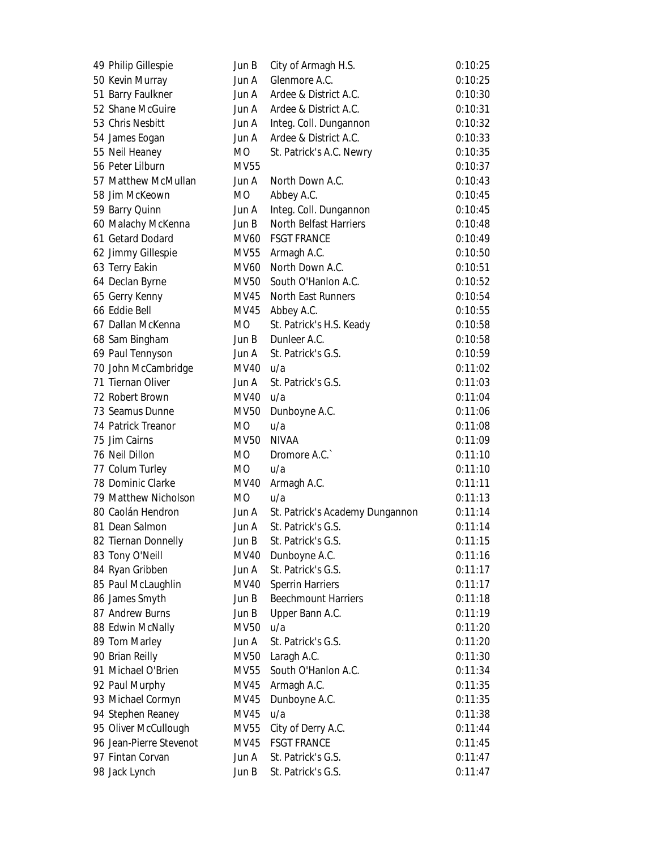| 49 Philip Gillespie     | Jun B       | City of Armagh H.S.             | 0:10:25 |
|-------------------------|-------------|---------------------------------|---------|
| 50 Kevin Murray         | Jun A       | Glenmore A.C.                   | 0:10:25 |
| 51 Barry Faulkner       | Jun A       | Ardee & District A.C.           | 0:10:30 |
| 52 Shane McGuire        | Jun A       | Ardee & District A.C.           | 0:10:31 |
| 53 Chris Nesbitt        | Jun A       | Integ. Coll. Dungannon          | 0:10:32 |
| 54 James Eogan          | Jun A       | Ardee & District A.C.           | 0:10:33 |
| 55 Neil Heaney          | МO          | St. Patrick's A.C. Newry        | 0:10:35 |
| 56 Peter Lilburn        | MV55        |                                 | 0:10:37 |
| 57 Matthew McMullan     | Jun A       | North Down A.C.                 | 0:10:43 |
| 58 Jim McKeown          | MO.         | Abbey A.C.                      | 0:10:45 |
| 59 Barry Quinn          | Jun A       | Integ. Coll. Dungannon          | 0:10:45 |
| 60 Malachy McKenna      | Jun B       | <b>North Belfast Harriers</b>   | 0:10:48 |
| 61 Getard Dodard        | MV60        | <b>FSGT FRANCE</b>              | 0:10:49 |
| 62 Jimmy Gillespie      | MV55        | Armagh A.C.                     | 0:10:50 |
| 63 Terry Eakin          | MV60        | North Down A.C.                 | 0:10:51 |
| 64 Declan Byrne         | MV50        | South O'Hanlon A.C.             | 0:10:52 |
| 65 Gerry Kenny          | MV45        | <b>North East Runners</b>       | 0:10:54 |
| 66 Eddie Bell           | MV45        | Abbey A.C.                      | 0:10:55 |
| 67 Dallan McKenna       | МO          | St. Patrick's H.S. Keady        | 0:10:58 |
| 68 Sam Bingham          | Jun B       | Dunleer A.C.                    | 0:10:58 |
| 69 Paul Tennyson        | Jun A       | St. Patrick's G.S.              | 0:10:59 |
| 70 John McCambridge     | MV40 u/a    |                                 | 0:11:02 |
| 71 Tiernan Oliver       | Jun A       | St. Patrick's G.S.              | 0:11:03 |
| 72 Robert Brown         | MV40        | u/a                             | 0:11:04 |
| 73 Seamus Dunne         | MV50        | Dunboyne A.C.                   | 0:11:06 |
| 74 Patrick Treanor      | MO.         | u/a                             | 0:11:08 |
| 75 Jim Cairns           | <b>MV50</b> | <b>NIVAA</b>                    | 0:11:09 |
| 76 Neil Dillon          | MO.         | Dromore A.C.                    | 0:11:10 |
| 77 Colum Turley         | МO          | u/a                             | 0:11:10 |
| 78 Dominic Clarke       | MV40        | Armagh A.C.                     | 0:11:11 |
| 79 Matthew Nicholson    | MO.         | u/a                             | 0:11:13 |
| 80 Caolán Hendron       | Jun A       | St. Patrick's Academy Dungannon | 0:11:14 |
| 81 Dean Salmon          | Jun A       | St. Patrick's G.S.              | 0:11:14 |
| 82 Tiernan Donnelly     | Jun B       | St. Patrick's G.S.              | 0:11:15 |
| 83 Tony O'Neill         | MV40        | Dunboyne A.C.                   | 0:11:16 |
| 84 Ryan Gribben         | Jun A       | St. Patrick's G.S.              | 0:11:17 |
| 85 Paul McLaughlin      | MV40        | <b>Sperrin Harriers</b>         | 0:11:17 |
| 86 James Smyth          | Jun B       | <b>Beechmount Harriers</b>      | 0:11:18 |
| 87 Andrew Burns         | Jun B       | Upper Bann A.C.                 | 0:11:19 |
| 88 Edwin McNally        | MV50        | u/a                             | 0:11:20 |
| 89 Tom Marley           | Jun A       | St. Patrick's G.S.              | 0:11:20 |
| 90 Brian Reilly         | MV50        | Laragh A.C.                     | 0:11:30 |
| 91 Michael O'Brien      | MV55        | South O'Hanlon A.C.             | 0:11:34 |
| 92 Paul Murphy          | MV45        | Armagh A.C.                     | 0:11:35 |
| 93 Michael Cormyn       | MV45        | Dunboyne A.C.                   | 0:11:35 |
| 94 Stephen Reaney       | MV45        | u/a                             | 0:11:38 |
| 95 Oliver McCullough    | MV55        | City of Derry A.C.              | 0:11:44 |
| 96 Jean-Pierre Stevenot | MV45        | <b>FSGT FRANCE</b>              | 0:11:45 |
| 97 Fintan Corvan        | Jun A       | St. Patrick's G.S.              | 0:11:47 |
| 98 Jack Lynch           | Jun B       | St. Patrick's G.S.              | 0:11:47 |